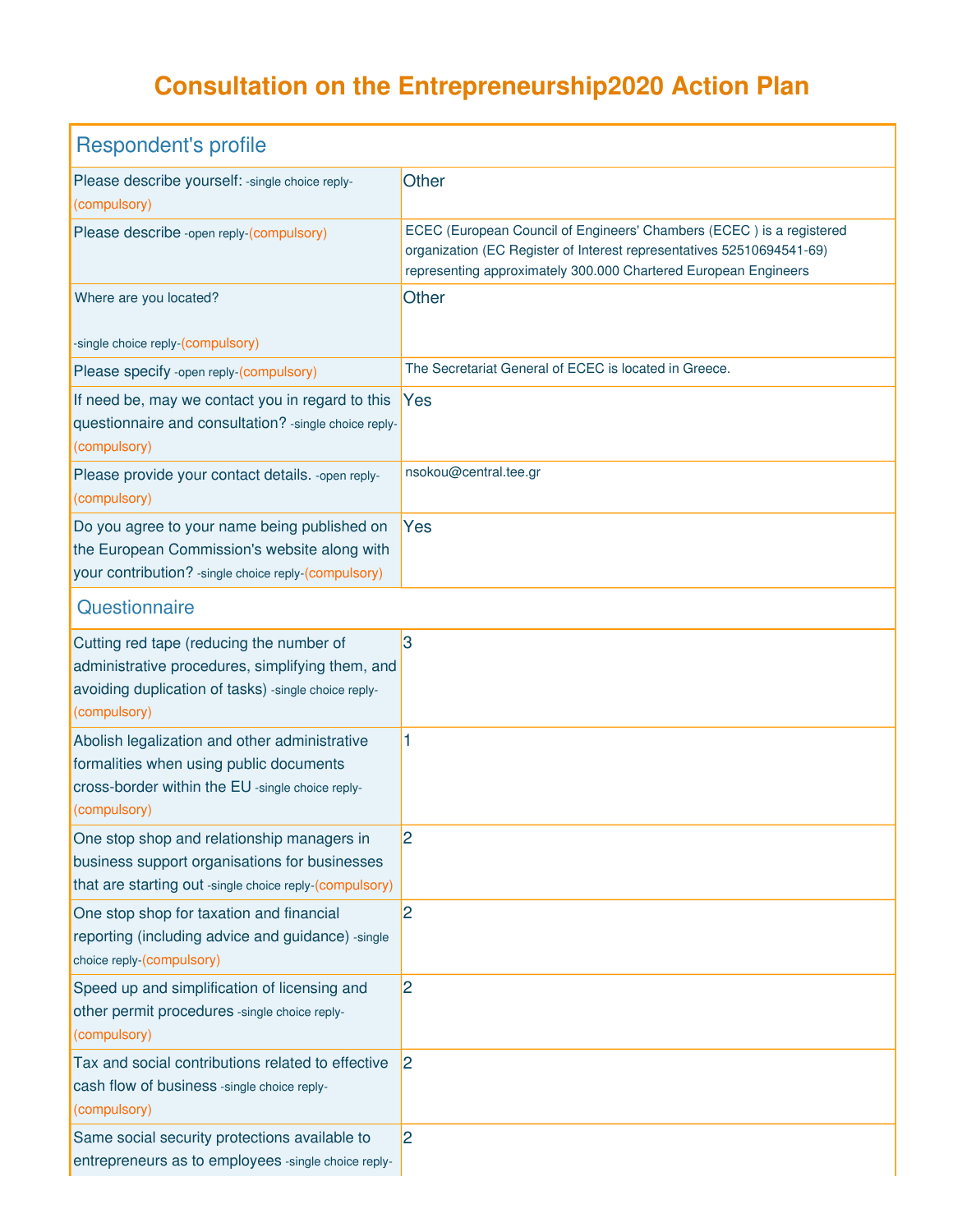## **Consultation on the Entrepreneurship2020 Action Plan**

| <b>Respondent's profile</b>                                                                                                                                          |                                                                                                                                                                                                                  |  |
|----------------------------------------------------------------------------------------------------------------------------------------------------------------------|------------------------------------------------------------------------------------------------------------------------------------------------------------------------------------------------------------------|--|
| Please describe yourself: - single choice reply-<br>(compulsory)                                                                                                     | <b>Other</b>                                                                                                                                                                                                     |  |
| Please describe - open reply-(compulsory)                                                                                                                            | ECEC (European Council of Engineers' Chambers (ECEC) is a registered<br>organization (EC Register of Interest representatives 52510694541-69)<br>representing approximately 300.000 Chartered European Engineers |  |
| Where are you located?                                                                                                                                               | Other                                                                                                                                                                                                            |  |
| -single choice reply-(compulsory)                                                                                                                                    |                                                                                                                                                                                                                  |  |
| Please specify -open reply-(compulsory)                                                                                                                              | The Secretariat General of ECEC is located in Greece.                                                                                                                                                            |  |
| If need be, may we contact you in regard to this<br>questionnaire and consultation? - single choice reply-<br>(compulsory)                                           | Yes                                                                                                                                                                                                              |  |
| Please provide your contact details. - open reply-<br>(compulsory)                                                                                                   | nsokou@central.tee.gr                                                                                                                                                                                            |  |
| Do you agree to your name being published on<br>the European Commission's website along with<br>your contribution? - single choice reply-(compulsory)                | Yes                                                                                                                                                                                                              |  |
| Questionnaire                                                                                                                                                        |                                                                                                                                                                                                                  |  |
| Cutting red tape (reducing the number of<br>administrative procedures, simplifying them, and<br>avoiding duplication of tasks) -single choice reply-<br>(compulsory) | 3                                                                                                                                                                                                                |  |
| Abolish legalization and other administrative<br>formalities when using public documents<br>cross-border within the EU -single choice reply-<br>(compulsory)         | 1                                                                                                                                                                                                                |  |
| One stop shop and relationship managers in<br>business support organisations for businesses<br>that are starting out -single choice reply-(compulsory)               | 2                                                                                                                                                                                                                |  |
| One stop shop for taxation and financial<br>reporting (including advice and guidance) -single<br>choice reply-(compulsory)                                           | 2                                                                                                                                                                                                                |  |
| Speed up and simplification of licensing and<br>other permit procedures -single choice reply-<br>(compulsory)                                                        | $\overline{2}$                                                                                                                                                                                                   |  |
| Tax and social contributions related to effective<br>cash flow of business -single choice reply-<br>(compulsory)                                                     | 2                                                                                                                                                                                                                |  |
| Same social security protections available to<br>entrepreneurs as to employees -single choice reply-                                                                 | 2                                                                                                                                                                                                                |  |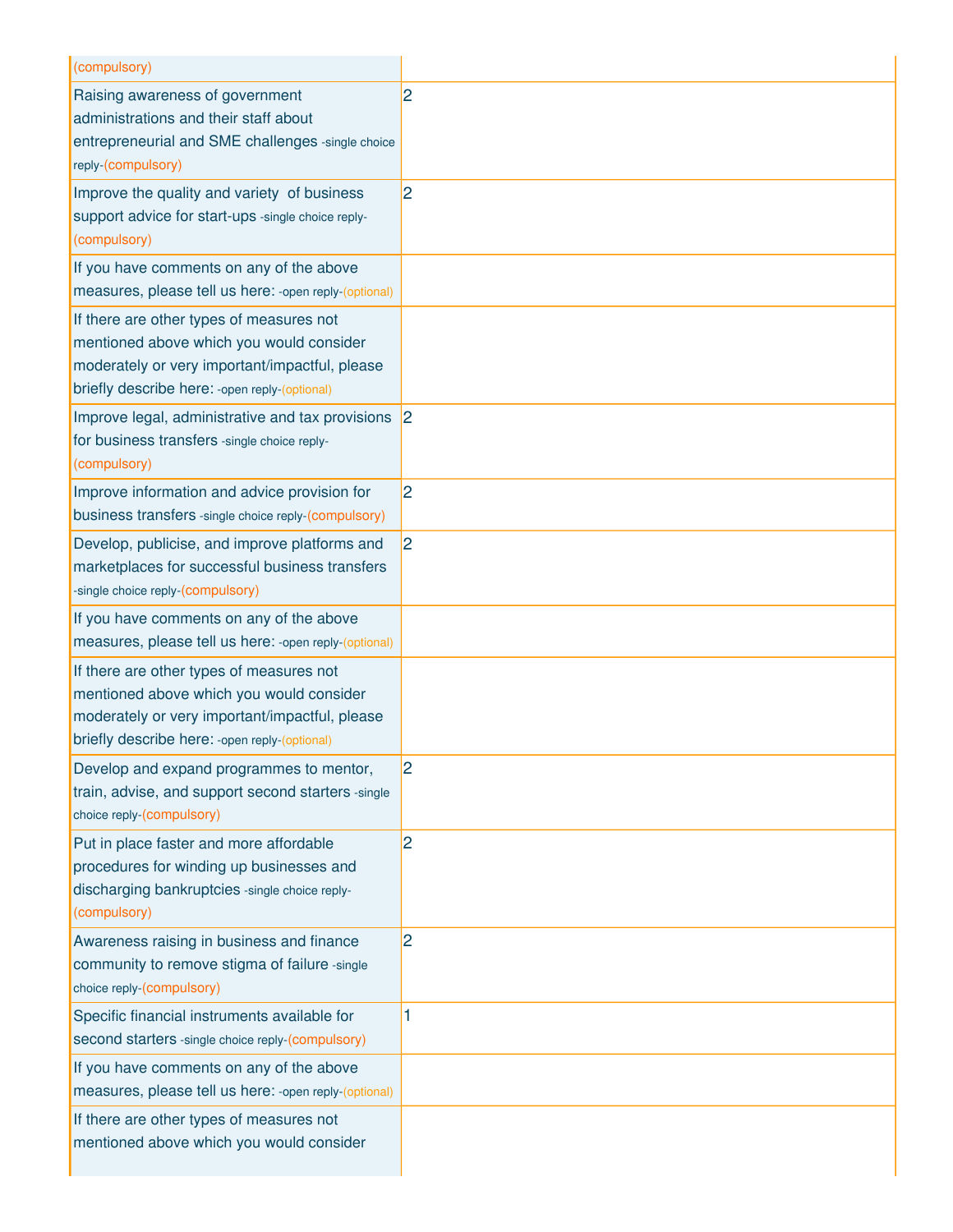| (compulsory)                                                                                                                                                                             |                |
|------------------------------------------------------------------------------------------------------------------------------------------------------------------------------------------|----------------|
| Raising awareness of government<br>administrations and their staff about<br>entrepreneurial and SME challenges -single choice<br>reply-(compulsory)                                      | $\overline{2}$ |
| Improve the quality and variety of business<br>support advice for start-ups -single choice reply-<br>(compulsory)                                                                        | $\overline{2}$ |
| If you have comments on any of the above<br>measures, please tell us here: - open reply-(optional)                                                                                       |                |
| If there are other types of measures not<br>mentioned above which you would consider<br>moderately or very important/impactful, please<br>briefly describe here: - open reply-(optional) |                |
| Improve legal, administrative and tax provisions 2<br>for business transfers -single choice reply-<br>(compulsory)                                                                       |                |
| Improve information and advice provision for<br>business transfers -single choice reply-(compulsory)                                                                                     | 2              |
| Develop, publicise, and improve platforms and<br>marketplaces for successful business transfers<br>-single choice reply-(compulsory)                                                     | 2              |
| If you have comments on any of the above<br>measures, please tell us here: -open reply-(optional)                                                                                        |                |
| If there are other types of measures not<br>mentioned above which you would consider<br>moderately or very important/impactful, please<br>briefly describe here: - open reply-(optional) |                |
| Develop and expand programmes to mentor,<br>train, advise, and support second starters -single<br>choice reply-(compulsory)                                                              | 2              |
| Put in place faster and more affordable<br>procedures for winding up businesses and<br>discharging bankruptcies -single choice reply-<br>(compulsory)                                    | $\overline{2}$ |
| Awareness raising in business and finance<br>community to remove stigma of failure -single<br>choice reply-(compulsory)                                                                  | $\overline{2}$ |
| Specific financial instruments available for<br>second starters -single choice reply-(compulsory)                                                                                        | 1              |
| If you have comments on any of the above<br>measures, please tell us here: -open reply-(optional)                                                                                        |                |
| If there are other types of measures not<br>mentioned above which you would consider                                                                                                     |                |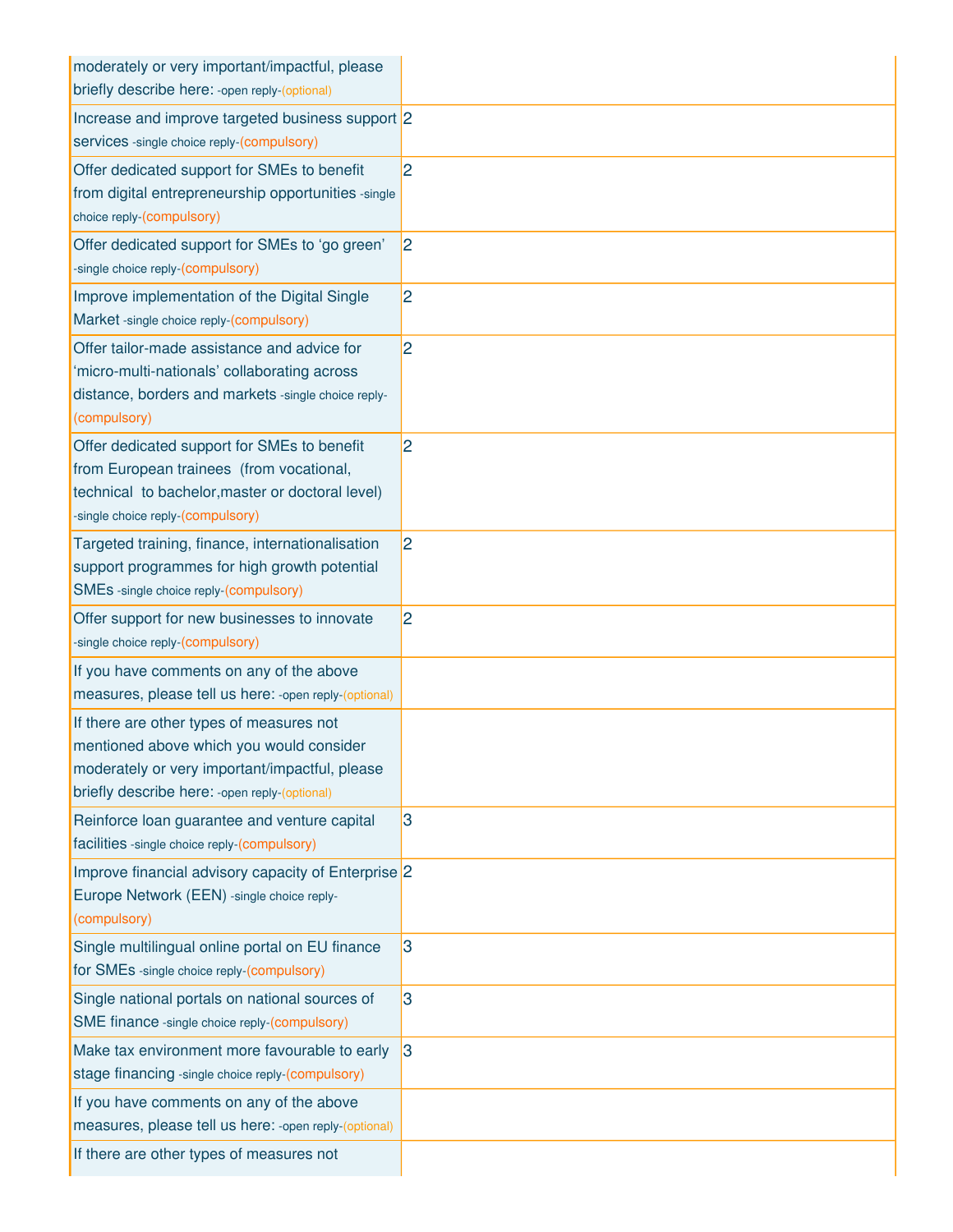| moderately or very important/impactful, please                                                    |   |
|---------------------------------------------------------------------------------------------------|---|
| briefly describe here: - open reply-(optional)                                                    |   |
| Increase and improve targeted business support 2                                                  |   |
| services -single choice reply-(compulsory)                                                        |   |
| Offer dedicated support for SMEs to benefit                                                       | 2 |
| from digital entrepreneurship opportunities -single                                               |   |
| choice reply-(compulsory)                                                                         |   |
| Offer dedicated support for SMEs to 'go green'                                                    | 2 |
| -single choice reply-(compulsory)                                                                 |   |
| Improve implementation of the Digital Single                                                      | 2 |
| Market -single choice reply-(compulsory)                                                          |   |
| Offer tailor-made assistance and advice for                                                       | 2 |
| 'micro-multi-nationals' collaborating across                                                      |   |
| distance, borders and markets -single choice reply-<br>(compulsory)                               |   |
|                                                                                                   |   |
| Offer dedicated support for SMEs to benefit<br>from European trainees (from vocational,           | 2 |
| technical to bachelor, master or doctoral level)                                                  |   |
| -single choice reply-(compulsory)                                                                 |   |
| Targeted training, finance, internationalisation                                                  | 2 |
| support programmes for high growth potential                                                      |   |
| SMEs -single choice reply-(compulsory)                                                            |   |
| Offer support for new businesses to innovate                                                      | 2 |
| -single choice reply-(compulsory)                                                                 |   |
| If you have comments on any of the above                                                          |   |
| measures, please tell us here: - open reply-(optional)                                            |   |
| If there are other types of measures not                                                          |   |
| mentioned above which you would consider                                                          |   |
| moderately or very important/impactful, please                                                    |   |
| briefly describe here: - open reply-(optional)                                                    |   |
| Reinforce loan guarantee and venture capital<br>facilities -single choice reply-(compulsory)      | 3 |
|                                                                                                   |   |
| Improve financial advisory capacity of Enterprise 2<br>Europe Network (EEN) -single choice reply- |   |
| (compulsory)                                                                                      |   |
| Single multilingual online portal on EU finance                                                   | 3 |
| for SMEs -single choice reply-(compulsory)                                                        |   |
| Single national portals on national sources of                                                    | 3 |
| SME finance -single choice reply-(compulsory)                                                     |   |
| Make tax environment more favourable to early                                                     | 3 |
| stage financing -single choice reply-(compulsory)                                                 |   |
| If you have comments on any of the above                                                          |   |
| measures, please tell us here: - open reply-(optional)                                            |   |
| If there are other types of measures not                                                          |   |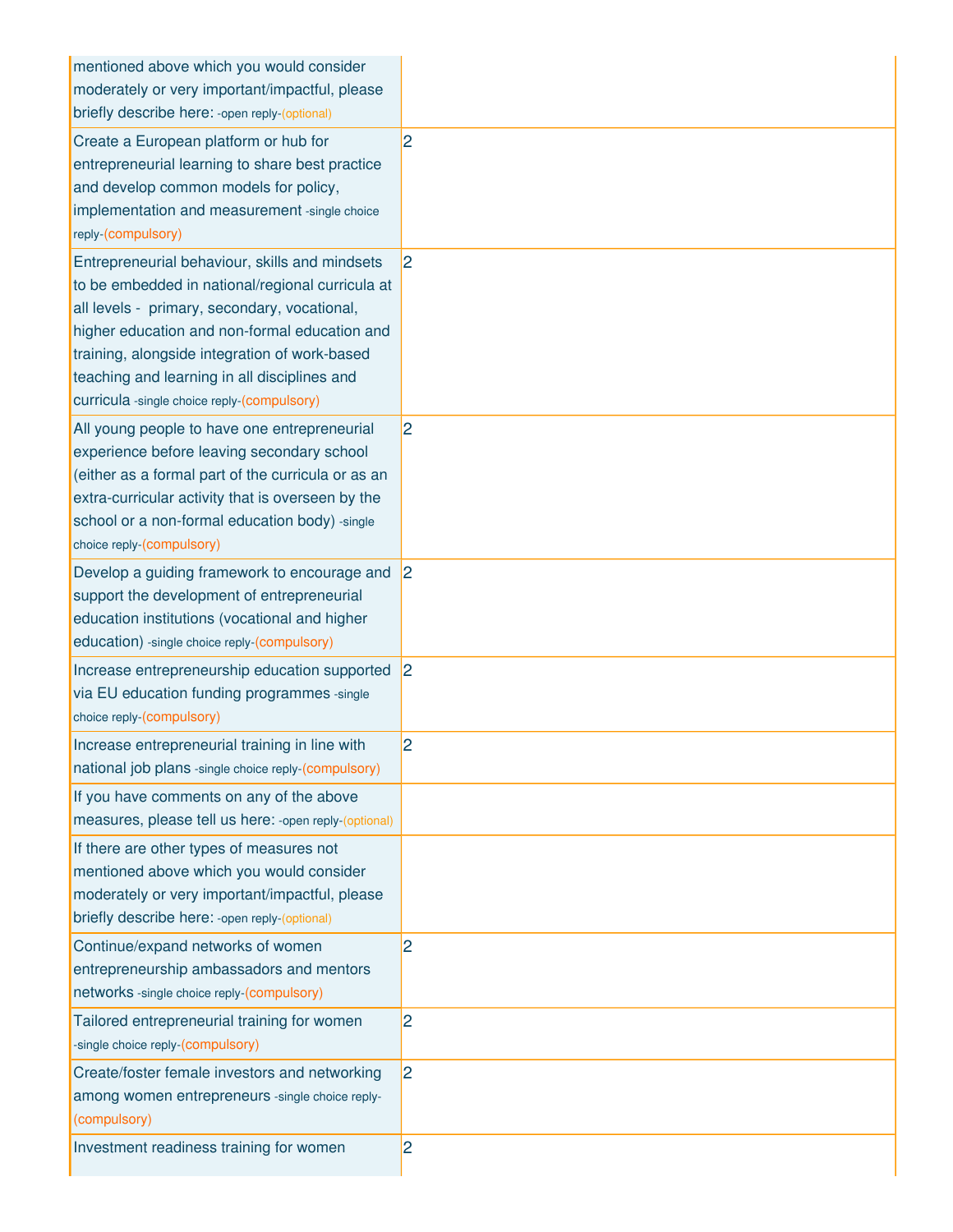| mentioned above which you would consider               |                |
|--------------------------------------------------------|----------------|
| moderately or very important/impactful, please         |                |
| briefly describe here: - open reply-(optional)         |                |
| Create a European platform or hub for                  | $\overline{2}$ |
| entrepreneurial learning to share best practice        |                |
| and develop common models for policy,                  |                |
| implementation and measurement -single choice          |                |
| reply-(compulsory)                                     |                |
|                                                        |                |
| Entrepreneurial behaviour, skills and mindsets         | 2              |
| to be embedded in national/regional curricula at       |                |
| all levels - primary, secondary, vocational,           |                |
| higher education and non-formal education and          |                |
| training, alongside integration of work-based          |                |
| teaching and learning in all disciplines and           |                |
| curricula -single choice reply-(compulsory)            |                |
| All young people to have one entrepreneurial           | $\overline{2}$ |
| experience before leaving secondary school             |                |
| (either as a formal part of the curricula or as an     |                |
| extra-curricular activity that is overseen by the      |                |
| school or a non-formal education body) -single         |                |
| choice reply-(compulsory)                              |                |
| Develop a guiding framework to encourage and           | 2              |
| support the development of entrepreneurial             |                |
| education institutions (vocational and higher          |                |
| education) -single choice reply-(compulsory)           |                |
|                                                        |                |
| Increase entrepreneurship education supported          | 2              |
| via EU education funding programmes -single            |                |
| choice reply-(compulsory)                              |                |
| Increase entrepreneurial training in line with         | 2              |
| national job plans -single choice reply-(compulsory)   |                |
| If you have comments on any of the above               |                |
| measures, please tell us here: - open reply-(optional) |                |
| If there are other types of measures not               |                |
| mentioned above which you would consider               |                |
| moderately or very important/impactful, please         |                |
| briefly describe here: - open reply-(optional)         |                |
|                                                        |                |
| Continue/expand networks of women                      | 2              |
| entrepreneurship ambassadors and mentors               |                |
| networks -single choice reply-(compulsory)             |                |
| Tailored entrepreneurial training for women            | $\overline{2}$ |
| -single choice reply-(compulsory)                      |                |
| Create/foster female investors and networking          | $\overline{2}$ |
| among women entrepreneurs -single choice reply-        |                |
| (compulsory)                                           |                |
| Investment readiness training for women                | $\overline{2}$ |
|                                                        |                |